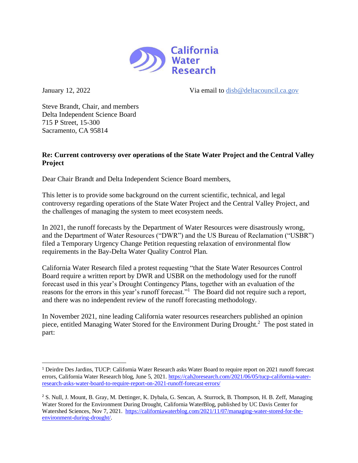

January 12, 2022 Via email to [disb@deltacouncil.ca.gov](mailto:disb@deltacouncil.ca.gov)

Steve Brandt, Chair, and members Delta Independent Science Board 715 P Street, 15-300 Sacramento, CA 95814

## **Re: Current controversy over operations of the State Water Project and the Central Valley Project**

Dear Chair Brandt and Delta Independent Science Board members,

This letter is to provide some background on the current scientific, technical, and legal controversy regarding operations of the State Water Project and the Central Valley Project, and the challenges of managing the system to meet ecosystem needs.

In 2021, the runoff forecasts by the Department of Water Resources were disastrously wrong, and the Department of Water Resources ("DWR") and the US Bureau of Reclamation ("USBR") filed a Temporary Urgency Change Petition requesting relaxation of environmental flow requirements in the Bay-Delta Water Quality Control Plan.

California Water Research filed a protest requesting "that the State Water Resources Control Board require a written report by DWR and USBR on the methodology used for the runoff forecast used in this year's Drought Contingency Plans, together with an evaluation of the reasons for the errors in this year's runoff forecast."<sup>1</sup> The Board did not require such a report, and there was no independent review of the runoff forecasting methodology.

In November 2021, nine leading California water resources researchers published an opinion piece, entitled Managing Water Stored for the Environment During Drought.<sup>2</sup> The post stated in part:

<sup>1</sup> Deirdre Des Jardins, TUCP: California Water Research asks Water Board to require report on 2021 runoff forecast errors, California Water Research blog, June 5, 2021. [https://cah2oresearch.com/2021/06/05/tucp-california-water](https://cah2oresearch.com/2021/06/05/tucp-california-water-research-asks-water-board-to-require-report-on-2021-runoff-forecast-errors/)[research-asks-water-board-to-require-report-on-2021-runoff-forecast-errors/](https://cah2oresearch.com/2021/06/05/tucp-california-water-research-asks-water-board-to-require-report-on-2021-runoff-forecast-errors/)

<sup>2</sup> S. Null, J. Mount, B. Gray, M. Dettinger, K. Dybala, G. Sencan, A. Sturrock, B. Thompson, H. B. Zeff, Managing Water Stored for the Environment During Drought, California WaterBlog, published by UC Davis Center for Watershed Sciences, Nov 7, 2021. [https://californiawaterblog.com/2021/11/07/managing-water-stored-for-the](https://californiawaterblog.com/2021/11/07/managing-water-stored-for-the-environment-during-drought/)[environment-during-drought/.](https://californiawaterblog.com/2021/11/07/managing-water-stored-for-the-environment-during-drought/)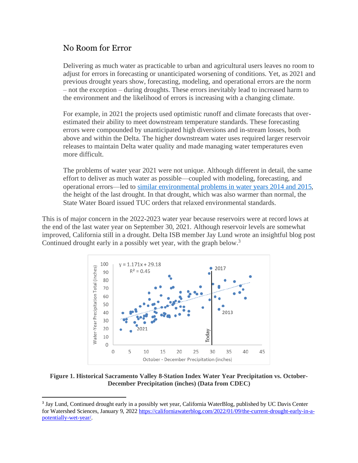## No Room for Error

Delivering as much water as practicable to urban and agricultural users leaves no room to adjust for errors in forecasting or unanticipated worsening of conditions. Yet, as 2021 and previous drought years show, forecasting, modeling, and operational errors are the norm – not the exception – during droughts. These errors inevitably lead to increased harm to the environment and the likelihood of errors is increasing with a changing climate.

For example, in 2021 the projects used optimistic runoff and climate forecasts that overestimated their ability to meet downstream temperature standards. These forecasting errors were compounded by unanticipated high diversions and in-stream losses, both above and within the Delta. The higher downstream water uses required larger reservoir releases to maintain Delta water quality and made managing water temperatures even more difficult.

The problems of water year 2021 were not unique. Although different in detail, the same effort to deliver as much water as possible—coupled with modeling, forecasting, and operational errors—led to similar [environmental](http://www.ppic.org/wp-content/uploads/1117ccr_appendix.pdf) problems in water years 2014 and 2015, the height of the last drought. In that drought, which was also warmer than normal, the State Water Board issued TUC orders that relaxed environmental standards.

This is of major concern in the 2022-2023 water year because reservoirs were at record lows at the end of the last water year on September 30, 2021. Although reservoir levels are somewhat improved, California still in a drought. Delta ISB member Jay Lund wrote an insightful blog post Continued drought early in a possibly wet year, with the graph below.<sup>3</sup>



**Figure 1. Historical Sacramento Valley 8-Station Index Water Year Precipitation vs. October-December Precipitation (inches) (Data from CDEC)**

<sup>&</sup>lt;sup>3</sup> Jay Lund, Continued drought early in a possibly wet year, California WaterBlog, published by UC Davis Center for Watershed Sciences, January 9, 2022 [https://californiawaterblog.com/2022/01/09/the-current-drought-early-in-a](https://californiawaterblog.com/2022/01/09/the-current-drought-early-in-a-potentially-wet-year/)[potentially-wet-year/.](https://californiawaterblog.com/2022/01/09/the-current-drought-early-in-a-potentially-wet-year/)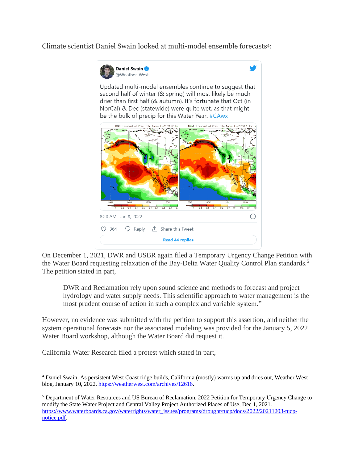Climate scientist Daniel Swain looked at multi-model ensemble forecasts4:



On December 1, 2021, DWR and USBR again filed a Temporary Urgency Change Petition with the Water Board requesting relaxation of the Bay-Delta Water Quality Control Plan standards.<sup>5</sup> The petition stated in part,

DWR and Reclamation rely upon sound science and methods to forecast and project hydrology and water supply needs. This scientific approach to water management is the most prudent course of action in such a complex and variable system."

However, no evidence was submitted with the petition to support this assertion, and neither the system operational forecasts nor the associated modeling was provided for the January 5, 2022 Water Board workshop, although the Water Board did request it.

California Water Research filed a protest which stated in part,

<sup>4</sup> Daniel Swain, As persistent West Coast ridge builds, California (mostly) warms up and dries out, Weather West blog, January 10, 2022. [https://weatherwest.com/archives/12616.](https://weatherwest.com/archives/12616)

<sup>5</sup> Department of Water Resources and US Bureau of Reclamation, 2022 Petition for Temporary Urgency Change to modify the State Water Project and Central Valley Project Authorized Places of Use, Dec 1, 2021. [https://www.waterboards.ca.gov/waterrights/water\\_issues/programs/drought/tucp/docs/2022/20211203-tucp](https://www.waterboards.ca.gov/waterrights/water_issues/programs/drought/tucp/docs/2022/20211203-tucp-notice.pdf)[notice.pdf.](https://www.waterboards.ca.gov/waterrights/water_issues/programs/drought/tucp/docs/2022/20211203-tucp-notice.pdf)